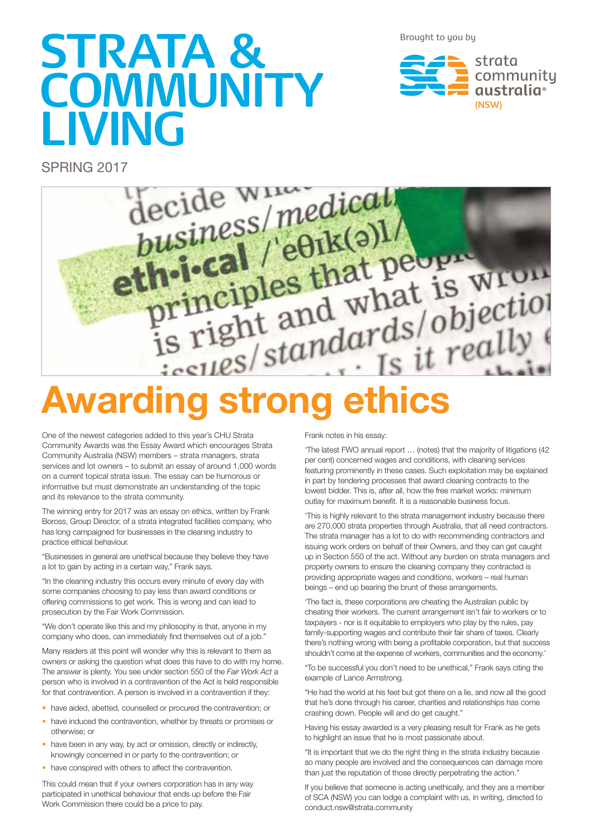Brought to you by

# **STRATA & COMMUNITY LIVING**

strata community qustralia<sup>®</sup> **(NSW)**

SPRING 2017



# **Awarding strong ethics**

One of the newest categories added to this year's CHU Strata Community Awards was the Essay Award which encourages Strata Community Australia (NSW) members – strata managers, strata services and lot owners – to submit an essay of around 1,000 words on a current topical strata issue. The essay can be humorous or informative but must demonstrate an understanding of the topic and its relevance to the strata community.

The winning entry for 2017 was an essay on ethics, written by Frank Boross, Group Director, of a strata integrated facilities company, who has long campaigned for businesses in the cleaning industry to practice ethical behaviour.

"Businesses in general are unethical because they believe they have a lot to gain by acting in a certain way," Frank says.

"In the cleaning industry this occurs every minute of every day with some companies choosing to pay less than award conditions or offering commissions to get work. This is wrong and can lead to prosecution by the Fair Work Commission.

"We don't operate like this and my philosophy is that, anyone in my company who does, can immediately find themselves out of a job."

Many readers at this point will wonder why this is relevant to them as owners or asking the question what does this have to do with my home. The answer is plenty. You see under section 550 of the *Fair Work Act* a person who is involved in a contravention of the Act is held responsible for that contravention. A person is involved in a contravention if they:

- have aided, abetted, counselled or procured the contravention; or
- have induced the contravention, whether by threats or promises or otherwise; or
- have been in any way, by act or omission, directly or indirectly, knowingly concerned in or party to the contravention; or
- have conspired with others to affect the contravention.

This could mean that if your owners corporation has in any way participated in unethical behaviour that ends up before the Fair Work Commission there could be a price to pay.

Frank notes in his essay:

'The latest FWO annual report … (notes) that the majority of litigations (42 per cent) concerned wages and conditions, with cleaning services featuring prominently in these cases. Such exploitation may be explained in part by tendering processes that award cleaning contracts to the lowest bidder. This is, after all, how the free market works: minimum outlay for maximum benefit. It is a reasonable business focus.

'This is highly relevant to the strata management industry because there are 270,000 strata properties through Australia, that all need contractors. The strata manager has a lot to do with recommending contractors and issuing work orders on behalf of their Owners, and they can get caught up in Section 550 of the act. Without any burden on strata managers and property owners to ensure the cleaning company they contracted is providing appropriate wages and conditions, workers – real human beings – end up bearing the brunt of these arrangements.

'The fact is, these corporations are cheating the Australian public by cheating their workers. The current arrangement isn't fair to workers or to taxpayers - nor is it equitable to employers who play by the rules, pay family-supporting wages and contribute their fair share of taxes. Clearly there's nothing wrong with being a profitable corporation, but that success shouldn't come at the expense of workers, communities and the economy.'

"To be successful you don't need to be unethical," Frank says citing the example of Lance Armstrong.

"He had the world at his feet but got there on a lie, and now all the good that he's done through his career, charities and relationships has come crashing down. People will and do get caught."

Having his essay awarded is a very pleasing result for Frank as he gets to highlight an issue that he is most passionate about.

"It is important that we do the right thing in the strata industry because so many people are involved and the consequences can damage more than just the reputation of those directly perpetrating the action.'

If you believe that someone is acting unethically, and they are a member of SCA (NSW) you can lodge a complaint with us, in writing, directed to conduct.nsw@strata.community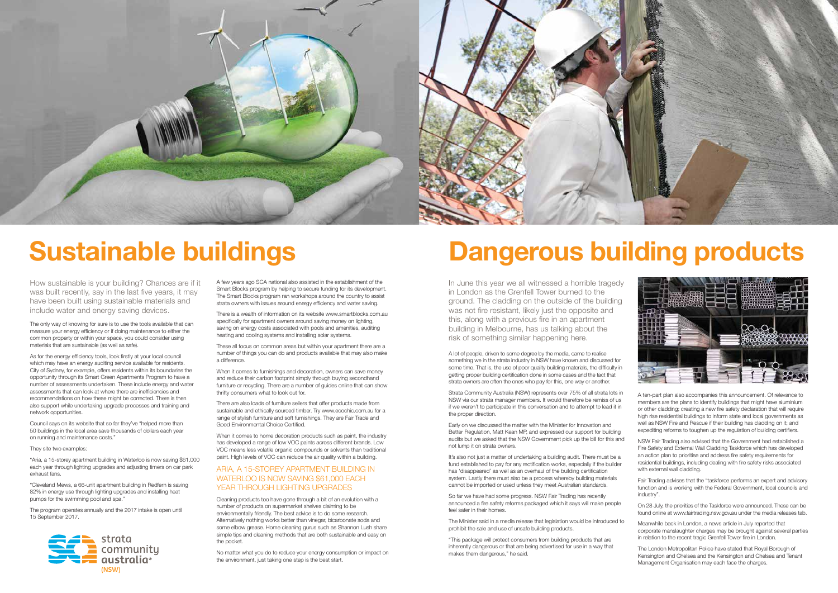A ten-part plan also accompanies this announcement. Of relevance to members are the plans to identify buildings that might have aluminium or other cladding; creating a new fire safety declaration that will require high rise residential buildings to inform state and local governments as well as NSW Fire and Rescue if their building has cladding on it; and expediting reforms to toughen up the regulation of building certifiers.

NSW Fair Trading also advised that the Government had established a Fire Safety and External Wall Cladding Taskforce which has developed an action plan to prioritise and address fire safety requirements for residential buildings, including dealing with fire safety risks associated with external wall cladding.

Fair Trading advises that the "taskforce performs an expert and advisory function and is working with the Federal Government, local councils and industry".

On 28 July, the priorities of the Taskforce were announced. These can be found online at www.fairtrading.nsw.gov.au under the media releases tab.

Meanwhile back in London, a news article in July reported that corporate manslaughter charges may be brought against several parties in relation to the recent tragic Grenfell Tower fire in London.

The London Metropolitan Police have stated that Royal Borough of Kensington and Chelsea and the Kensington and Chelsea and Tenant Management Organisation may each face the charges.





### **Sustainable buildings**

How sustainable is your building? Chances are if it was built recently, say in the last five years, it may have been built using sustainable materials and include water and energy saving devices.

The only way of knowing for sure is to use the tools available that can measure your energy efficiency or if doing maintenance to either the common property or within your space, you could consider using materials that are sustainable (as well as safe).

As for the energy efficiency tools, look firstly at your local council which may have an energy auditing service available for residents. City of Sydney, for example, offers residents within its boundaries the opportunity through its Smart Green Apartments Program to have a number of assessments undertaken. These include energy and water assessments that can look at where there are inefficiencies and recommendations on how these might be corrected. There is then also support while undertaking upgrade processes and training and network opportunities.

#### ARIA, A 15-STOREY APARTMENT BUILDING IN WATERLOO IS NOW SAVING \$61,000 EACH YEAR THROUGH LIGHTING UPGRADES

Council says on its website that so far they've "helped more than 50 buildings in the local area save thousands of dollars each year on running and maintenance costs."

They site two examples:

"Aria, a 15-storey apartment building in Waterloo is now saving \$61,000 each year through lighting upgrades and adjusting timers on car park exhaust fans.

"Cleveland Mews, a 66-unit apartment building in Redfern is saving 82% in energy use through lighting upgrades and installing heat pumps for the swimming pool and spa."

Strata Community Australia (NSW) represents over 75% of all strata lots in NSW via our strata manager members. It would therefore be remiss of us if we weren't to participate in this conversation and to attempt to lead it in the proper direction.

The program operates annually and the 2017 intake is open until 15 September 2017.

A few years ago SCA national also assisted in the establishment of the Smart Blocks program by helping to secure funding for its development. The Smart Blocks program ran workshops around the country to assist strata owners with issues around energy efficiency and water saving.

There is a wealth of information on its website www.smartblocks.com.au specifically for apartment owners around saving money on lighting. saving on energy costs associated with pools and amenities, auditing heating and cooling systems and installing solar systems.

These all focus on common areas but within your apartment there are a number of things you can do and products available that may also make a difference.

When it comes to furnishings and decoration, owners can save money and reduce their carbon footprint simply through buying secondhand furniture or recycling. There are a number of guides online that can show thrifty consumers what to look out for.

There are also loads of furniture sellers that offer products made from sustainable and ethically sourced timber. Try www.ecochic.com.au for a range of stylish furniture and soft furnishings. They are Fair Trade and Good Environmental Choice Certified.

When it comes to home decoration products such as paint, the industry has developed a range of low VOC paints across different brands. Low VOC means less volatile organic compounds or solvents than traditional paint. High levels of VOC can reduce the air quality within a building.

Cleaning products too have gone through a bit of an evolution with a number of products on supermarket shelves claiming to be environmentally friendly. The best advice is to do some research. Alternatively nothing works better than vinegar, bicarbonate soda and some elbow grease. Home cleaning gurus such as Shannon Lush share simple tips and cleaning methods that are both sustainable and easy on the pocket.

No matter what you do to reduce your energy consumption or impact on the environment, just taking one step is the best start.

In June this year we all witnessed a horrible tragedy in London as the Grenfell Tower burned to the ground. The cladding on the outside of the building was not fire resistant, likely just the opposite and this, along with a previous fire in an apartment building in Melbourne, has us talking about the risk of something similar happening here.

A lot of people, driven to some degree by the media, came to realise something we in the strata industry in NSW have known and discussed for some time. That is, the use of poor quality building materials, the difficulty in getting proper building certification done in some cases and the fact that strata owners are often the ones who pay for this, one way or another.

Early on we discussed the matter with the Minister for Innovation and Better Regulation, Matt Kean MP, and expressed our support for building audits but we asked that the NSW Government pick up the bill for this and not lump it on strata owners.

It's also not just a matter of undertaking a building audit. There must be a fund established to pay for any rectification works, especially if the builder has 'disappeared' as well as an overhaul of the building certification system. Lastly there must also be a process whereby building materials cannot be imported or used unless they meet Australian standards.

So far we have had some progress. NSW Fair Trading has recently announced a fire safety reforms packaged which it says will make people feel safer in their homes.

The Minister said in a media release that legislation would be introduced to prohibit the sale and use of unsafe building products.

"This package will protect consumers from building products that are inherently dangerous or that are being advertised for use in a way that makes them dangerous," he said.



### **Dangerous building products**